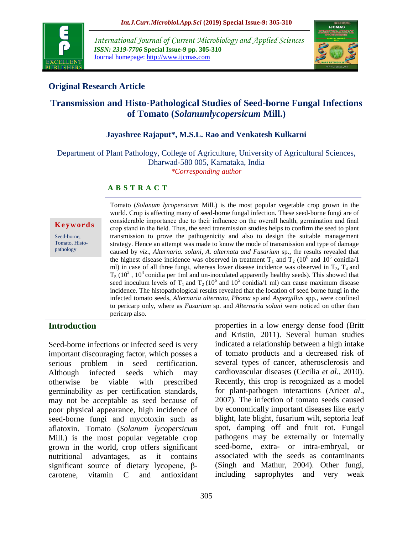

*International Journal of Current Microbiology and Applied Sciences ISSN: 2319-7706* **Special Issue-9 pp. 305-310** Journal homepage: http://www.ijcmas.com



# **Original Research Article**

# **Transmission and Histo-Pathological Studies of Seed-borne Fungal Infections of Tomato (***Solanumlycopersicum* **Mill.)**

## **Jayashree Rajaput\*, M.S.L. Rao and Venkatesh Kulkarni**

Department of Plant Pathology, College of Agriculture, University of Agricultural Sciences, Dharwad-580 005, Karnataka, India *\*Corresponding author*

### **A B S T R A C T**

**K e y w o r d s**

Seed-borne, Tomato, Histopathology

Tomato (*Solanum lycopersicum* Mill.) is the most popular vegetable crop grown in the world. Crop is affecting many of seed-borne fungal infection. These seed-borne fungi are of considerable importance due to their influence on the overall health, germination and final crop stand in the field. Thus, the seed transmission studies helps to confirm the seed to plant transmission to prove the pathogenicity and also to design the suitable management strategy. Hence an attempt was made to know the mode of transmission and type of damage caused by *viz*., *Alternaria. solani, A. alternata and Fusarium* sp., the results revealed that the highest disease incidence was observed in treatment  $T_1$  and  $T_2$  (10<sup>6</sup> and 10<sup>5</sup> conidia/1 ml) in case of all three fungi, whereas lower disease incidence was observed in  $T_3$ ,  $T_4$  and  $T_5$  (10<sup>3</sup>, 10<sup>4</sup> conidia per 1ml and un-inoculated apparently healthy seeds). This showed that seed inoculum levels of T<sub>1</sub> and T<sub>2</sub> (10<sup>6</sup> and 10<sup>5</sup> conidia/1 ml) can cause maximum disease incidence. The histopathological results revealed that the location of seed borne fungi in the infected tomato seeds, *Alternaria alternata, Phoma* sp and *Aspergillus* spp*.,* were confined to pericarp only, where as *Fusarium* sp. and *Alternaria solani* were noticed on other than pericarp also.

## **Introduction**

Seed-borne infections or infected seed is very important discouraging factor, which posses a serious problem in seed certification. Although infected seeds which may otherwise be viable with prescribed germinability as per certification standards, may not be acceptable as seed because of poor physical appearance, high incidence of seed-borne fungi and mycotoxin such as aflatoxin. Tomato (*Solanum lycopersicum* Mill.) is the most popular vegetable crop grown in the world, crop offers significant nutritional advantages, as it contains significant source of dietary lycopene, βcarotene, vitamin C and antioxidant

properties in a low energy dense food (Britt and Kristin, 2011). Several human studies indicated a relationship between a high intake of tomato products and a decreased risk of several types of cancer, atherosclerosis and cardiovascular diseases (Cecilia *et al*., 2010). Recently, this crop is recognized as a model for plant-pathogen interactions (Arie*et al*., 2007). The infection of tomato seeds caused by economically important diseases like early blight, late blight, fusarium wilt, septoria leaf spot, damping off and fruit rot. Fungal pathogens may be externally or internally seed-borne, extra- or intra-embryal, or associated with the seeds as contaminants (Singh and Mathur, 2004). Other fungi, including saprophytes and very weak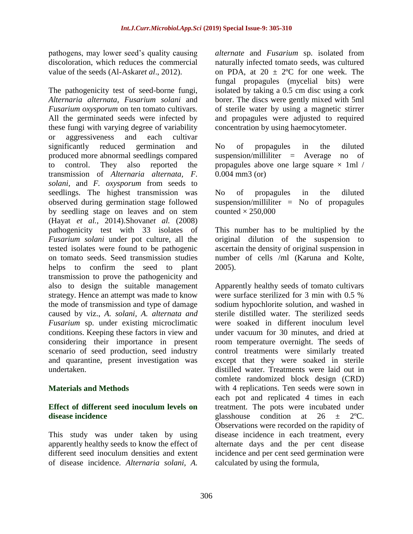pathogens, may lower seed's quality causing discoloration, which reduces the commercial value of the seeds (Al-Askar*et al*., 2012).

The pathogenicity test of seed-borne fungi, *Alternaria alternata, Fusarium solani* and *Fusarium oxysporum* on ten tomato cultivars*.* All the germinated seeds were infected by these fungi with varying degree of variability or aggressiveness and each cultivar<br>significantly reduced germination and significantly reduced germination and produced more abnormal seedlings compared to control. They also reported the transmission of *Alternaria alternata, F. solani,* and *F. oxysporum* from seeds to seedlings. The highest transmission was observed during germination stage followed by seedling stage on leaves and on stem (Hayat *et al.*, 2014).Shovan*et al.* (2008) pathogenicity test with 33 isolates of *Fusarium solani* under pot culture, all the tested isolates were found to be pathogenic on tomato seeds. Seed transmission studies helps to confirm the seed to plant transmission to prove the pathogenicity and also to design the suitable management strategy. Hence an attempt was made to know the mode of transmission and type of damage caused by viz., *A. solani, A. alternata and Fusarium* sp. under existing microclimatic conditions. Keeping these factors in view and considering their importance in present scenario of seed production, seed industry and quarantine, present investigation was undertaken.

### **Materials and Methods**

### **Effect of different seed inoculum levels on disease incidence**

This study was under taken by using apparently healthy seeds to know the effect of different seed inoculum densities and extent of disease incidence. *Alternaria solani, A.* 

*alternate* and *Fusarium* sp. isolated from naturally infected tomato seeds, was cultured on PDA, at  $20 \pm 2^{\circ}$ C for one week. The fungal propagules (mycelial bits) were isolated by taking a 0.5 cm disc using a cork borer. The discs were gently mixed with 5ml of sterile water by using a magnetic stirrer and propagules were adjusted to required concentration by using haemocytometer.

No of propagules in the diluted suspension/milliliter = Average no of propagules above one large square  $\times$  1ml / 0.004 mm3 (or)

No of propagules in the diluted suspension/milliliter  $=$  No of propagules counted  $\times$  250,000

This number has to be multiplied by the original dilution of the suspension to ascertain the density of original suspension in number of cells /ml (Karuna and Kolte, 2005).

Apparently healthy seeds of tomato cultivars were surface sterilized for 3 min with 0.5 % sodium hypochlorite solution, and washed in sterile distilled water. The sterilized seeds were soaked in different inoculum level under vacuum for 30 minutes, and dried at room temperature overnight. The seeds of control treatments were similarly treated except that they were soaked in sterile distilled water. Treatments were laid out in comlete randomized block design (CRD) with 4 replications. Ten seeds were sown in each pot and replicated 4 times in each treatment. The pots were incubated under glasshouse condition at  $26 \pm 2^{\circ}C$ . Observations were recorded on the rapidity of disease incidence in each treatment, every alternate days and the per cent disease incidence and per cent seed germination were calculated by using the formula,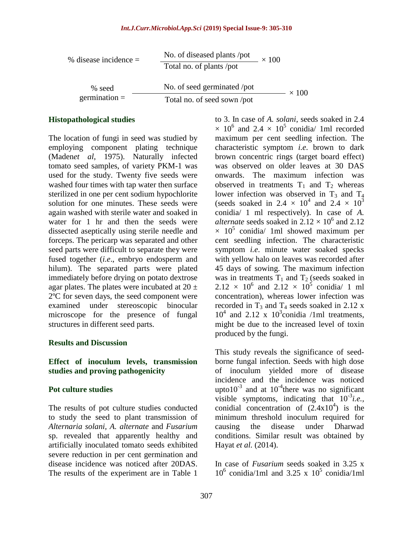| % disease incidence $=$ | No. of diseased plants /pot<br>Total no. of plants /pot | $\times$ 100 |
|-------------------------|---------------------------------------------------------|--------------|
| % seed                  | No. of seed germinated /pot                             |              |
| germination $=$         | Total no. of seed sown /pot                             |              |

#### **Histopathological studies**

The location of fungi in seed was studied by employing component plating technique (Maden*et al*, 1975). Naturally infected tomato seed samples, of variety PKM-1 was used for the study. Twenty five seeds were washed four times with tap water then surface sterilized in one per cent sodium hypochlorite solution for one minutes. These seeds were again washed with sterile water and soaked in water for 1 hr and then the seeds were dissected aseptically using sterile needle and forceps. The pericarp was separated and other seed parts were difficult to separate they were fused together (*i.e*., embryo endosperm and hilum). The separated parts were plated immediately before drying on potato dextrose agar plates. The plates were incubated at  $20 \pm$ 2ºC for seven days, the seed component were examined under stereoscopic binocular microscope for the presence of fungal structures in different seed parts.

#### **Results and Discussion**

**Effect of inoculum levels, transmission studies and proving pathogenicity**

#### **Pot culture studies**

The results of pot culture studies conducted to study the seed to plant transmission of *Alternaria solani, A. alternate* and *Fusarium* sp. revealed that apparently healthy and artificially inoculated tomato seeds exhibited severe reduction in per cent germination and disease incidence was noticed after 20DAS. The results of the experiment are in Table 1

to 3. In case of *A. solani*, seeds soaked in 2.4  $\times$  10<sup>6</sup> and 2.4  $\times$  10<sup>5</sup> conidia/ 1ml recorded maximum per cent seedling infection. The characteristic symptom *i.e*. brown to dark brown concentric rings (target board effect) was observed on older leaves at 30 DAS onwards. The maximum infection was observed in treatments  $T_1$  and  $T_2$  whereas lower infection was observed in  $T_3$  and  $T_4$ (seeds soaked in 2.4  $\times$  10<sup>4</sup> and 2.4  $\times$  10<sup>3</sup> conidia/ 1 ml respectively). In case of *A. alternate* seeds soaked in  $2.12 \times 10^6$  and 2.12  $\times$  10<sup>5</sup> conidia/ 1ml showed maximum per cent seedling infection. The characteristic symptom *i.e*. minute water soaked specks with yellow halo on leaves was recorded after 45 days of sowing. The maximum infection was in treatments  $T_1$  and  $T_2$  (seeds soaked in  $2.12 \times 10^6$  and  $2.12 \times 10^5$  conidia/ 1 ml concentration), whereas lower infection was recorded in  $T_3$  and  $T_4$  seeds soaked in 2.12 x  $10^4$  and 2.12 x  $10^3$ conidia /1ml treatments, might be due to the increased level of toxin produced by the fungi.

× 100

This study reveals the significance of seedborne fungal infection. Seeds with high dose of inoculum yielded more of disease incidence and the incidence was noticed upto10<sup>-3</sup> and at  $10^{-4}$ there was no significant visible symptoms, indicating that  $10^{-3}$ *i.e.*, conidial concentration of  $(2.4x10<sup>4</sup>)$  is the minimum threshold inoculum required for causing the disease under Dharwad conditions. Similar result was obtained by Hayat *et al.* (2014).

In case of *Fusarium* seeds soaked in 3.25 x  $10^6$  conidia/1ml and 3.25 x  $10^5$  conidia/1ml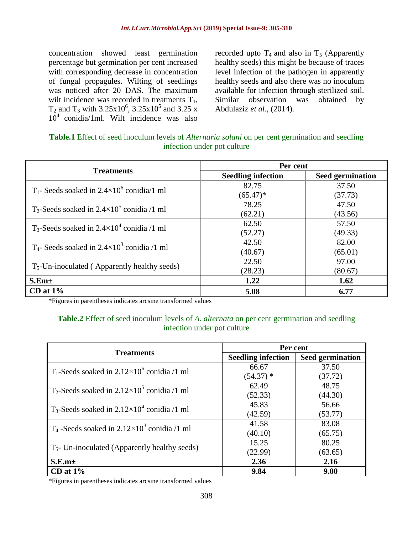concentration showed least germination percentage but germination per cent increased with corresponding decrease in concentration of fungal propagules. Wilting of seedlings was noticed after 20 DAS. The maximum wilt incidence was recorded in treatments  $T_1$ , T<sub>2</sub> and T<sub>3</sub> with  $3.25 \times 10^6$ ,  $3.25 \times 10^5$  and  $3.25 \times$  $10^4$  conidia/1ml. Wilt incidence was also

recorded upto  $T_4$  and also in  $T_5$  (Apparently healthy seeds) this might be because of traces level infection of the pathogen in apparently healthy seeds and also there was no inoculum available for infection through sterilized soil. Similar observation was obtained by Abdulaziz *et al*., (2014).

| Table.1 Effect of seed inoculum levels of <i>Alternaria solani</i> on per cent germination and seedling |  |  |  |  |
|---------------------------------------------------------------------------------------------------------|--|--|--|--|
| infection under pot culture                                                                             |  |  |  |  |

|                                                                  | Per cent                  |                         |
|------------------------------------------------------------------|---------------------------|-------------------------|
| <b>Treatments</b>                                                | <b>Seedling infection</b> | <b>Seed germination</b> |
| $T_1$ - Seeds soaked in 2.4×10 <sup>6</sup> conidia/1 ml         | 82.75                     | 37.50                   |
|                                                                  | $(65.47)^*$               | (37.73)                 |
| $T_2$ -Seeds soaked in 2.4×10 <sup>5</sup> conidia /1 ml         | 78.25                     | 47.50                   |
|                                                                  | (62.21)                   | (43.56)                 |
| $T_3$ -Seeds soaked in 2.4×10 <sup>4</sup> conidia /1 ml         | 62.50                     | 57.50                   |
|                                                                  | (52.27)                   | (49.33)                 |
| T <sub>4</sub> - Seeds soaked in $2.4 \times 10^3$ conidia /1 ml | 42.50                     | 82.00                   |
|                                                                  | (40.67)                   | (65.01)                 |
|                                                                  | 22.50                     | 97.00                   |
| $T_5$ -Un-inoculated (Apparently healthy seeds)                  | (28.23)                   | (80.67)                 |
| S.Em <sub>±</sub>                                                | 1.22                      | 1.62                    |
| CD at $1\%$                                                      | 5.08                      | 6.77                    |

\*Figures in parentheses indicates arcsine transformed values

### **Table.2** Effect of seed inoculum levels of *A. alternata* on per cent germination and seedling infection under pot culture

|                                                                  | Per cent                  |                         |
|------------------------------------------------------------------|---------------------------|-------------------------|
| <b>Treatments</b>                                                | <b>Seedling infection</b> | <b>Seed germination</b> |
| T <sub>1</sub> -Seeds soaked in $2.12 \times 10^6$ conidia /1 ml | 66.67                     | 37.50                   |
|                                                                  | $(54.37)$ *               | (37.72)                 |
| $T_2$ -Seeds soaked in 2.12×10 <sup>5</sup> conidia /1 ml        | 62.49                     | 48.75                   |
|                                                                  | (52.33)                   | (44.30)                 |
| T <sub>3</sub> -Seeds soaked in $2.12 \times 10^4$ conidia /1 ml | 45.83                     | 56.66                   |
|                                                                  | (42.59)                   | (53.77)                 |
| $T_4$ -Seeds soaked in 2.12×10 <sup>3</sup> conidia /1 ml        | 41.58                     | 83.08                   |
|                                                                  | (40.10)                   | (65.75)                 |
|                                                                  | 15.25                     | 80.25                   |
| $T5$ - Un-inoculated (Apparently healthy seeds)                  | (22.99)                   | (63.65)                 |
| S.E.m <sub>±</sub>                                               | 2.36                      | 2.16                    |
| $CD$ at $1\%$                                                    | 9.84                      | 9.00                    |

\*Figures in parentheses indicates arcsine transformed values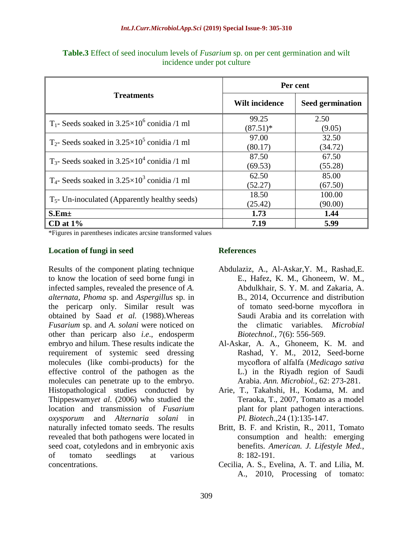|                                                                   | Per cent              |                         |
|-------------------------------------------------------------------|-----------------------|-------------------------|
| <b>Treatments</b>                                                 | <b>Wilt incidence</b> | <b>Seed germination</b> |
| T <sub>1</sub> - Seeds soaked in $3.25 \times 10^6$ conidia /1 ml | 99.25<br>$(87.51)^*$  | 2.50<br>(9.05)          |
| $T_2$ - Seeds soaked in 3.25×10 <sup>5</sup> conidia /1 ml        | 97.00<br>(80.17)      | 32.50<br>(34.72)        |
| $T_3$ - Seeds soaked in 3.25×10 <sup>4</sup> conidia /1 ml        | 87.50<br>(69.53)      | 67.50<br>(55.28)        |
| T <sub>4</sub> - Seeds soaked in $3.25 \times 10^3$ conidia /1 ml | 62.50<br>(52.27)      | 85.00<br>(67.50)        |
| $T5$ - Un-inoculated (Apparently healthy seeds)                   | 18.50<br>(25.42)      | 100.00<br>(90.00)       |
| $S.Em\pm$                                                         | 1.73                  | 1.44                    |
| $CD$ at $1\%$                                                     | 7.19                  | 5.99                    |

**Table.3** Effect of seed inoculum levels of *Fusarium* sp. on per cent germination and wilt incidence under pot culture

\*Figures in parentheses indicates arcsine transformed values

### **Location of fungi in seed**

Results of the component plating technique to know the location of seed borne fungi in infected samples, revealed the presence of *A. alternata, Phoma* sp. and *Aspergillus* sp. in the pericarp only. Similar result was obtained by Saad *et al.* (1988).Whereas *Fusarium* sp. and *A. solani* were noticed on other than pericarp also *i.e*., endosperm embryo and hilum. These results indicate the requirement of systemic seed dressing molecules (like combi-products) for the effective control of the pathogen as the molecules can penetrate up to the embryo. Histopathological studies conducted by Thippeswamy*et al*. (2006) who studied the location and transmission of *Fusarium oxysporum* and *Alternaria solani* in naturally infected tomato seeds. The results revealed that both pathogens were located in seed coat, cotyledons and in embryonic axis of tomato seedlings at various concentrations.

### **References**

- Abdulaziz, A., Al-Askar,Y. M., Rashad,E. E., Hafez, K. M., Ghoneem, W. M., Abdulkhair, S. Y. M. and Zakaria, A. B., 2014, Occurrence and distribution of tomato seed-borne mycoflora in Saudi Arabia and its correlation with the climatic variables. *Microbial Biotechnol.,* 7(6): 556-569.
- Al-Askar, A. A., Ghoneem, K. M. and Rashad, Y. M., 2012, Seed-borne mycoflora of alfalfa (*Medicago sativa* L.) in the Riyadh region of Saudi Arabia. *Ann. Microbiol.,* 62: 273-281.
- Arie, T., Takahshi, H., Kodama, M. and Teraoka, T., 2007, Tomato as a model plant for plant pathogen interactions. *Pl. Biotech.,*24 (1):135-147.
- Britt, B. F. and Kristin, R., 2011, Tomato consumption and health: emerging benefits. *American. J. Lifestyle Med.*, 8: 182-191.
- Cecilia, A. S., Evelina, A. T. and Lilia, M. A., 2010, Processing of tomato: